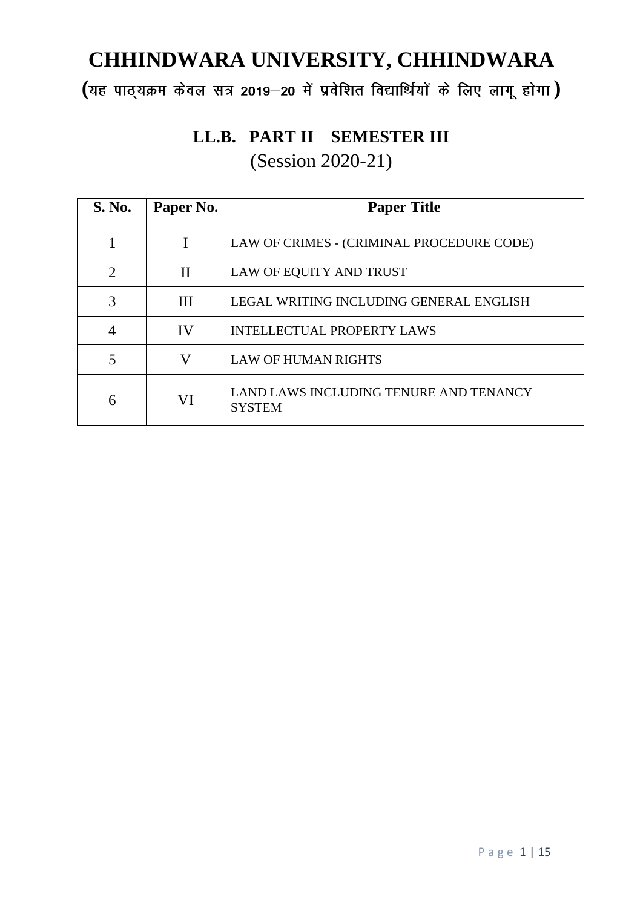**( )**

# **LL.B. PART II SEMESTER III** (Session 2020-21)

| <b>S. No.</b>  | Paper No.    | <b>Paper Title</b>                                      |
|----------------|--------------|---------------------------------------------------------|
|                |              | LAW OF CRIMES - (CRIMINAL PROCEDURE CODE)               |
| $\overline{2}$ | $\mathbf{I}$ | LAW OF EQUITY AND TRUST                                 |
| 3              | III          | LEGAL WRITING INCLUDING GENERAL ENGLISH                 |
| $\overline{4}$ | IV           | <b>INTELLECTUAL PROPERTY LAWS</b>                       |
|                | V            | <b>LAW OF HUMAN RIGHTS</b>                              |
| 6              | VI           | LAND LAWS INCLUDING TENURE AND TENANCY<br><b>SYSTEM</b> |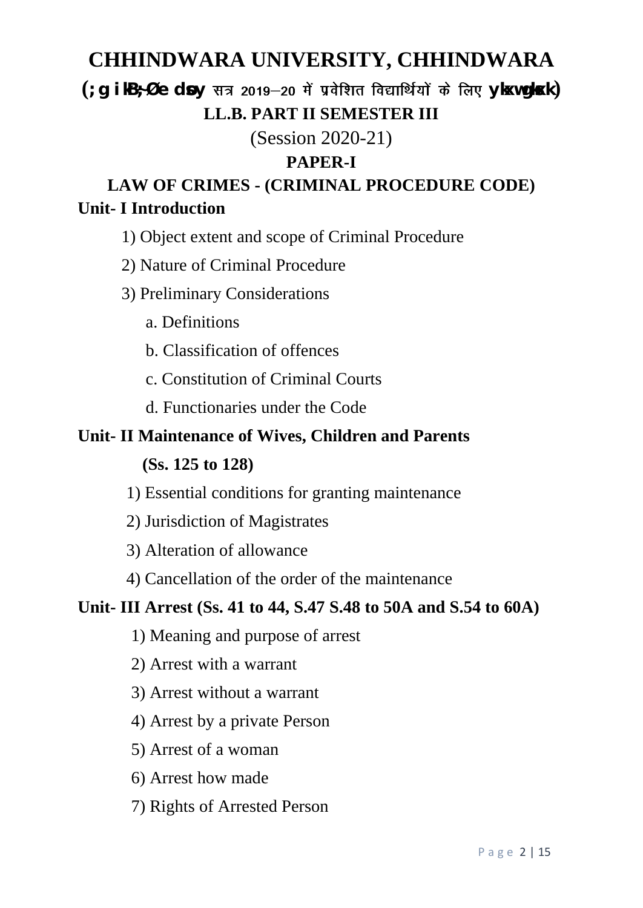# $\left( \begin{array}{ccc} \cdot & \circ & \circ \\ \cdot & \circ & \circ \end{array} \right)$  and  $\left( \begin{array}{ccc} \circ & \circ & \circ \\ \circ & \circ & \circ \end{array} \right)$  and  $\left( \begin{array}{ccc} \circ & \circ & \circ \\ \circ & \circ & \circ \end{array} \right)$ **LL.B. PART II SEMESTER III**

(Session 2020-21)

## **PAPER-I**

**LAW OF CRIMES - (CRIMINAL PROCEDURE CODE) Unit- I Introduction**

- 1) Object extent and scope of Criminal Procedure
- 2) Nature of Criminal Procedure
- 3) Preliminary Considerations
	- a. Definitions
	- b. Classification of offences
	- c. Constitution of Criminal Courts
	- d. Functionaries under the Code

## **Unit- II Maintenance of Wives, Children and Parents**

## **(Ss. 125 to 128)**

- 1) Essential conditions for granting maintenance
- 2) Jurisdiction of Magistrates
- 3) Alteration of allowance
- 4) Cancellation of the order of the maintenance

## **Unit- III Arrest (Ss. 41 to 44, S.47 S.48 to 50A and S.54 to 60A)**

- 1) Meaning and purpose of arrest
- 2) Arrest with a warrant
- 3) Arrest without a warrant
- 4) Arrest by a private Person
- 5) Arrest of a woman
- 6) Arrest how made
- 7) Rights of Arrested Person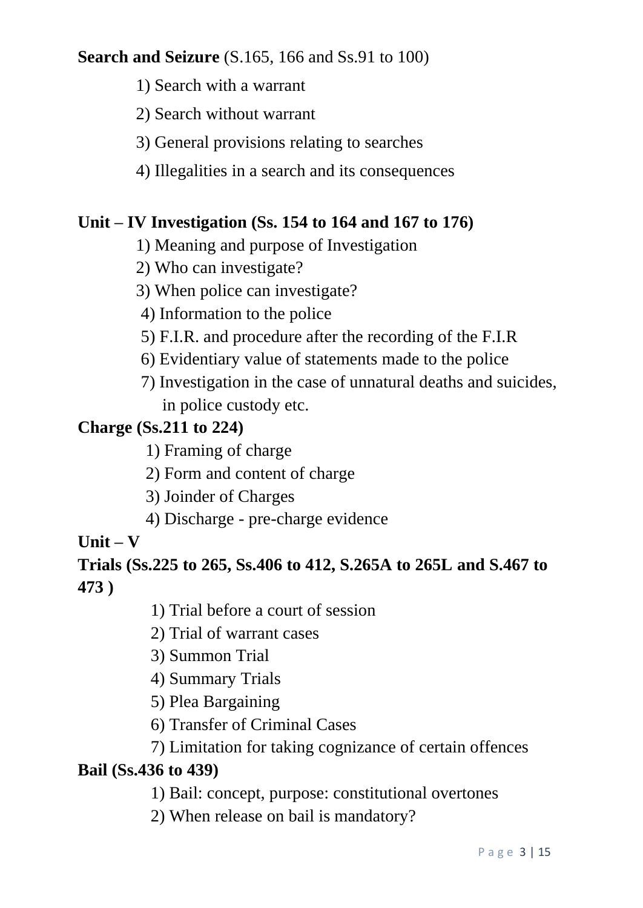## **Search and Seizure** (S.165, 166 and Ss.91 to 100)

- 1) Search with a warrant
- 2) Search without warrant
- 3) General provisions relating to searches
- 4) Illegalities in a search and its consequences

## **Unit – IV Investigation (Ss. 154 to 164 and 167 to 176)**

- 1) Meaning and purpose of Investigation
- 2) Who can investigate?
- 3) When police can investigate?
- 4) Information to the police
- 5) F.I.R. and procedure after the recording of the F.I.R
- 6) Evidentiary value of statements made to the police
- 7) Investigation in the case of unnatural deaths and suicides, in police custody etc.

## **Charge (Ss.211 to 224)**

- 1) Framing of charge
- 2) Form and content of charge
- 3) Joinder of Charges
- 4) Discharge pre-charge evidence

# **Unit – V**

# **Trials (Ss.225 to 265, Ss.406 to 412, S.265A to 265L and S.467 to 473 )**

- 1) Trial before a court of session
- 2) Trial of warrant cases
- 3) Summon Trial
- 4) Summary Trials
- 5) Plea Bargaining
- 6) Transfer of Criminal Cases
- 7) Limitation for taking cognizance of certain offences

## **Bail (Ss.436 to 439)**

- 1) Bail: concept, purpose: constitutional overtones
- 2) When release on bail is mandatory?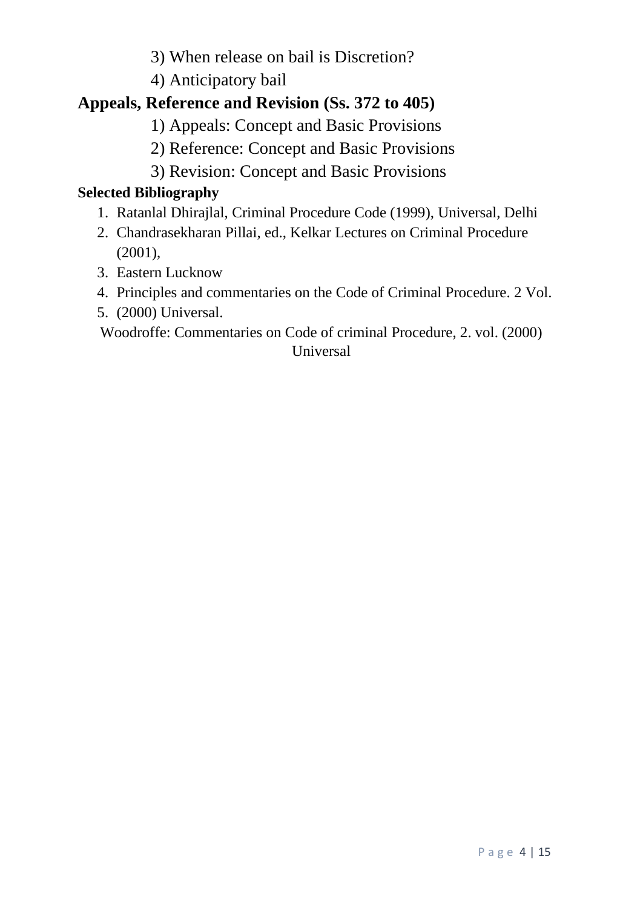3) When release on bail is Discretion?

4) Anticipatory bail

# **Appeals, Reference and Revision (Ss. 372 to 405)**

- 1) Appeals: Concept and Basic Provisions
- 2) Reference: Concept and Basic Provisions
- 3) Revision: Concept and Basic Provisions

## **Selected Bibliography**

- 1. Ratanlal Dhirajlal, Criminal Procedure Code (1999), Universal, Delhi
- 2. Chandrasekharan Pillai, ed., Kelkar Lectures on Criminal Procedure (2001),
- 3. Eastern Lucknow
- 4. Principles and commentaries on the Code of Criminal Procedure. 2 Vol.
- 5. (2000) Universal.

Woodroffe: Commentaries on Code of criminal Procedure, 2. vol. (2000) Universal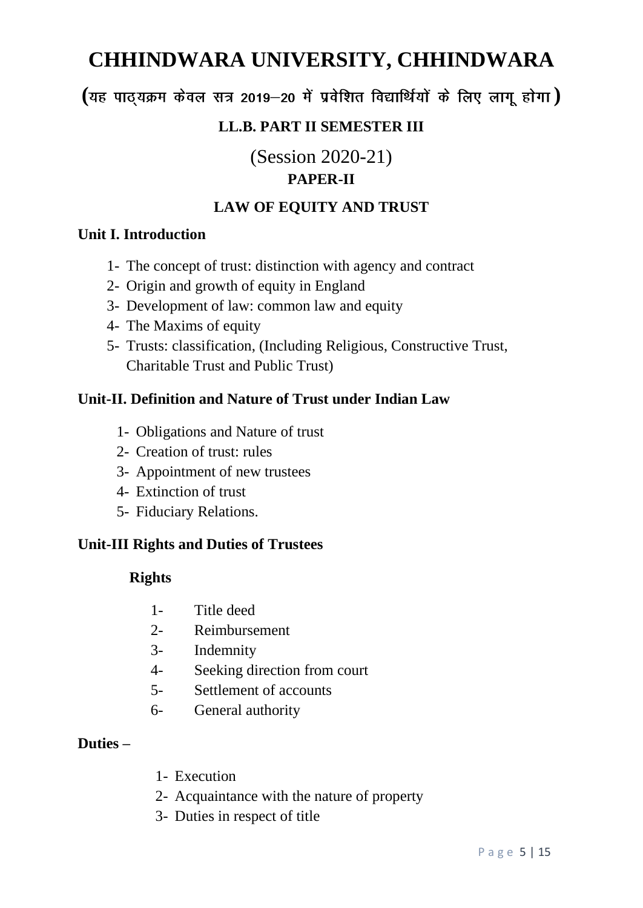**( )**

### **LL.B. PART II SEMESTER III**

(Session 2020-21)

### **PAPER-II**

#### **LAW OF EQUITY AND TRUST**

#### **Unit I. Introduction**

- 1- The concept of trust: distinction with agency and contract
- 2- Origin and growth of equity in England
- 3- Development of law: common law and equity
- 4- The Maxims of equity
- 5- Trusts: classification, (Including Religious, Constructive Trust, Charitable Trust and Public Trust)

#### **Unit-II. Definition and Nature of Trust under Indian Law**

- 1- Obligations and Nature of trust
- 2- Creation of trust: rules
- 3- Appointment of new trustees
- 4- Extinction of trust
- 5- Fiduciary Relations.

#### **Unit-III Rights and Duties of Trustees**

#### **Rights**

- 1- Title deed
- 2- Reimbursement
- 3- Indemnity
- 4- Seeking direction from court
- 5- Settlement of accounts
- 6- General authority

#### **Duties –**

- 1- Execution
- 2- Acquaintance with the nature of property
- 3- Duties in respect of title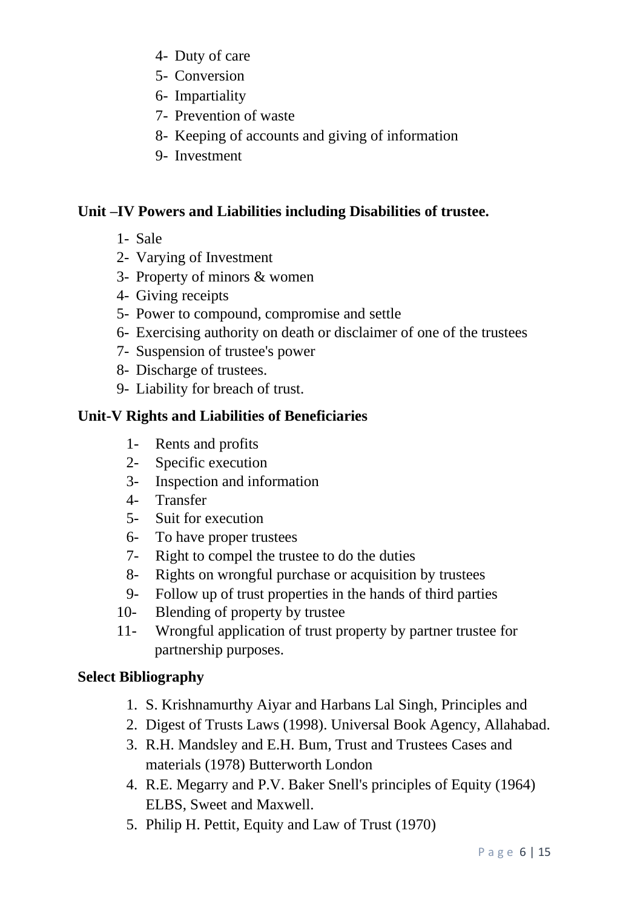- 4- Duty of care
- 5- Conversion
- 6- Impartiality
- 7- Prevention of waste
- 8- Keeping of accounts and giving of information
- 9- Investment

### **Unit –IV Powers and Liabilities including Disabilities of trustee.**

- 1- Sale
- 2- Varying of Investment
- 3- Property of minors & women
- 4- Giving receipts
- 5- Power to compound, compromise and settle
- 6- Exercising authority on death or disclaimer of one of the trustees
- 7- Suspension of trustee's power
- 8- Discharge of trustees.
- 9- Liability for breach of trust.

### **Unit-V Rights and Liabilities of Beneficiaries**

- 1- Rents and profits
- 2- Specific execution
- 3- Inspection and information
- 4- Transfer
- 5- Suit for execution
- 6- To have proper trustees
- 7- Right to compel the trustee to do the duties
- 8- Rights on wrongful purchase or acquisition by trustees
- 9- Follow up of trust properties in the hands of third parties
- 10- Blending of property by trustee
- 11- Wrongful application of trust property by partner trustee for partnership purposes.

### **Select Bibliography**

- 1. S. Krishnamurthy Aiyar and Harbans Lal Singh, Principles and
- 2. Digest of Trusts Laws (1998). Universal Book Agency, Allahabad.
- 3. R.H. Mandsley and E.H. Bum, Trust and Trustees Cases and materials (1978) Butterworth London
- 4. R.E. Megarry and P.V. Baker Snell's principles of Equity (1964) ELBS, Sweet and Maxwell.
- 5. Philip H. Pettit, Equity and Law of Trust (1970)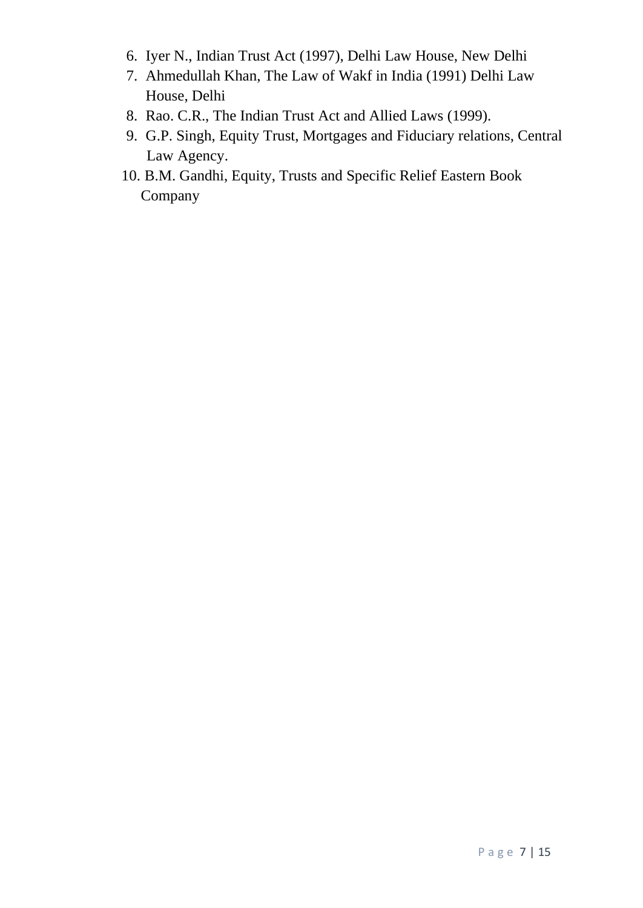- 6. Iyer N., Indian Trust Act (1997), Delhi Law House, New Delhi
- 7. Ahmedullah Khan, The Law of Wakf in India (1991) Delhi Law House, Delhi
- 8. Rao. C.R., The Indian Trust Act and Allied Laws (1999).
- 9. G.P. Singh, Equity Trust, Mortgages and Fiduciary relations, Central Law Agency.
- 10. B.M. Gandhi, Equity, Trusts and Specific Relief Eastern Book Company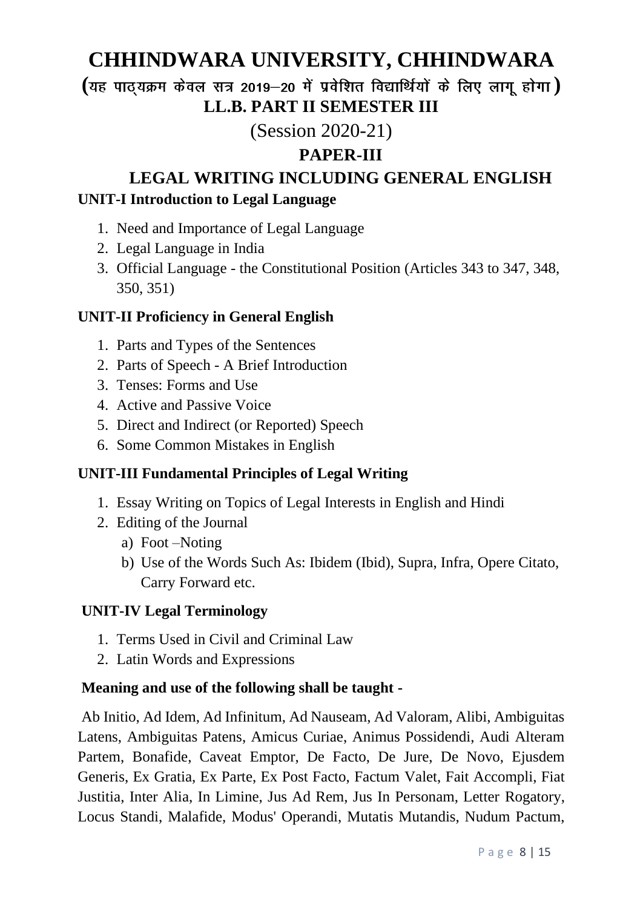**( ) LL.B. PART II SEMESTER III**

# (Session 2020-21)

## **PAPER-III**

# **LEGAL WRITING INCLUDING GENERAL ENGLISH UNIT-I Introduction to Legal Language**

- 1. Need and Importance of Legal Language
- 2. Legal Language in India
- 3. Official Language the Constitutional Position (Articles 343 to 347, 348, 350, 351)

### **UNIT-II Proficiency in General English**

- 1. Parts and Types of the Sentences
- 2. Parts of Speech A Brief Introduction
- 3. Tenses: Forms and Use
- 4. Active and Passive Voice
- 5. Direct and Indirect (or Reported) Speech
- 6. Some Common Mistakes in English

### **UNIT-III Fundamental Principles of Legal Writing**

- 1. Essay Writing on Topics of Legal Interests in English and Hindi
- 2. Editing of the Journal
	- a) Foot –Noting
	- b) Use of the Words Such As: Ibidem (Ibid), Supra, Infra, Opere Citato, Carry Forward etc.

### **UNIT-IV Legal Terminology**

- 1. Terms Used in Civil and Criminal Law
- 2. Latin Words and Expressions

### **Meaning and use of the following shall be taught -**

Ab Initio, Ad Idem, Ad Infinitum, Ad Nauseam, Ad Valoram, Alibi, Ambiguitas Latens, Ambiguitas Patens, Amicus Curiae, Animus Possidendi, Audi Alteram Partem, Bonafide, Caveat Emptor, De Facto, De Jure, De Novo, Ejusdem Generis, Ex Gratia, Ex Parte, Ex Post Facto, Factum Valet, Fait Accompli, Fiat Justitia, Inter Alia, In Limine, Jus Ad Rem, Jus In Personam, Letter Rogatory, Locus Standi, Malafide, Modus' Operandi, Mutatis Mutandis, Nudum Pactum,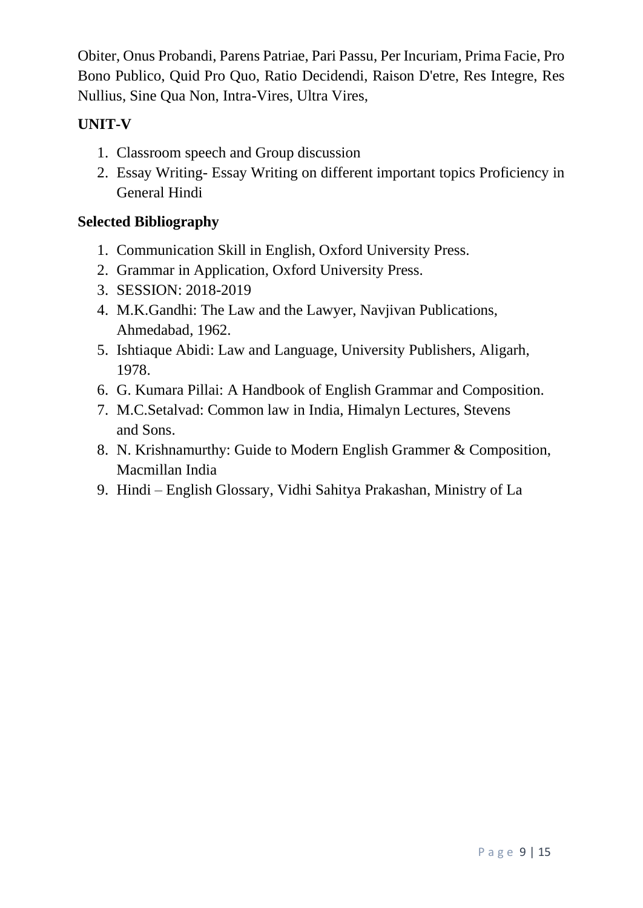Obiter, Onus Probandi, Parens Patriae, Pari Passu, Per Incuriam, Prima Facie, Pro Bono Publico, Quid Pro Quo, Ratio Decidendi, Raison D'etre, Res Integre, Res Nullius, Sine Qua Non, Intra-Vires, Ultra Vires,

## **UNIT-V**

- 1. Classroom speech and Group discussion
- 2. Essay Writing- Essay Writing on different important topics Proficiency in General Hindi

### **Selected Bibliography**

- 1. Communication Skill in English, Oxford University Press.
- 2. Grammar in Application, Oxford University Press.
- 3. SESSION: 2018-2019
- 4. M.K.Gandhi: The Law and the Lawyer, Navjivan Publications, Ahmedabad, 1962.
- 5. Ishtiaque Abidi: Law and Language, University Publishers, Aligarh, 1978.
- 6. G. Kumara Pillai: A Handbook of English Grammar and Composition.
- 7. M.C.Setalvad: Common law in India, Himalyn Lectures, Stevens and Sons.
- 8. N. Krishnamurthy: Guide to Modern English Grammer & Composition, Macmillan India
- 9. Hindi English Glossary, Vidhi Sahitya Prakashan, Ministry of La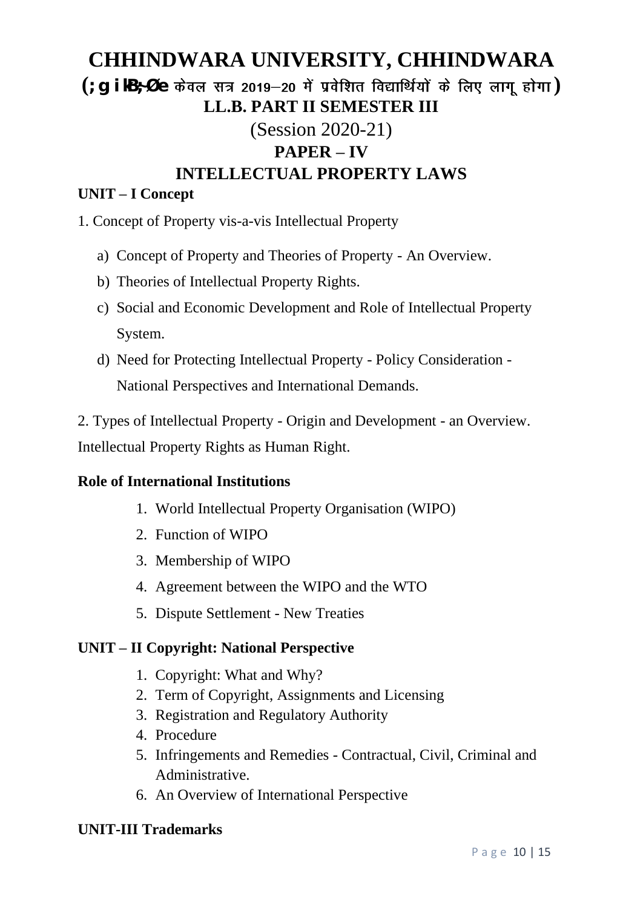# **(;g ikB~;Øe ) LL.B. PART II SEMESTER III** (Session 2020-21) **PAPER – IV INTELLECTUAL PROPERTY LAWS**

#### **UNIT – I Concept**

- 1. Concept of Property vis-a-vis Intellectual Property
	- a) Concept of Property and Theories of Property An Overview.
	- b) Theories of Intellectual Property Rights.
	- c) Social and Economic Development and Role of Intellectual Property System.
	- d) Need for Protecting Intellectual Property Policy Consideration National Perspectives and International Demands.

2. Types of Intellectual Property - Origin and Development - an Overview. Intellectual Property Rights as Human Right.

#### **Role of International Institutions**

- 1. World Intellectual Property Organisation (WIPO)
- 2. Function of WIPO
- 3. Membership of WIPO
- 4. Agreement between the WIPO and the WTO
- 5. Dispute Settlement New Treaties

#### **UNIT – II Copyright: National Perspective**

- 1. Copyright: What and Why?
- 2. Term of Copyright, Assignments and Licensing
- 3. Registration and Regulatory Authority
- 4. Procedure
- 5. Infringements and Remedies Contractual, Civil, Criminal and Administrative.
- 6. An Overview of International Perspective

#### **UNIT-III Trademarks**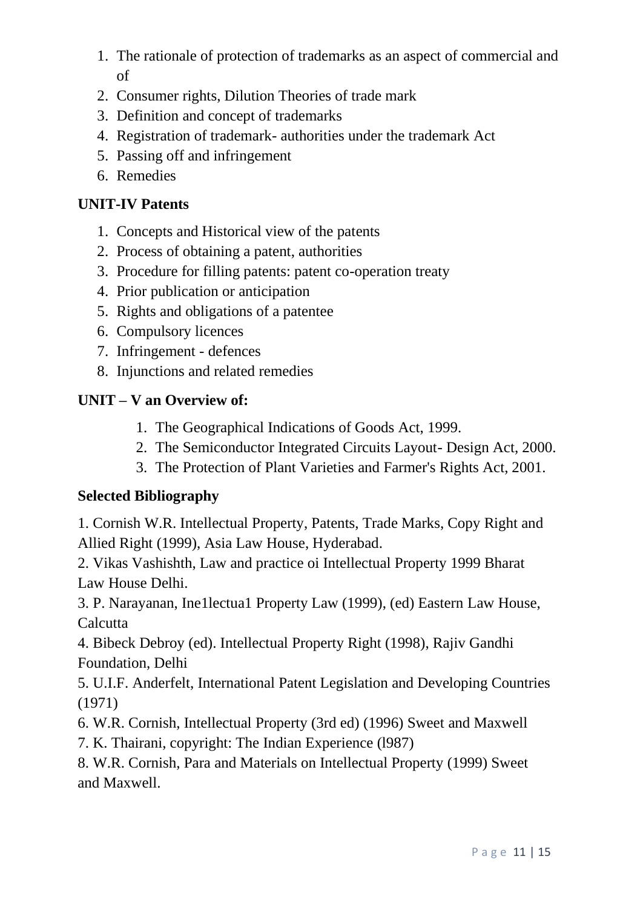- 1. The rationale of protection of trademarks as an aspect of commercial and of
- 2. Consumer rights, Dilution Theories of trade mark
- 3. Definition and concept of trademarks
- 4. Registration of trademark- authorities under the trademark Act
- 5. Passing off and infringement
- 6. Remedies

### **UNIT-IV Patents**

- 1. Concepts and Historical view of the patents
- 2. Process of obtaining a patent, authorities
- 3. Procedure for filling patents: patent co-operation treaty
- 4. Prior publication or anticipation
- 5. Rights and obligations of a patentee
- 6. Compulsory licences
- 7. Infringement defences
- 8. Injunctions and related remedies

## **UNIT – V an Overview of:**

- 1. The Geographical Indications of Goods Act, 1999.
- 2. The Semiconductor Integrated Circuits Layout- Design Act, 2000.
- 3. The Protection of Plant Varieties and Farmer's Rights Act, 2001.

## **Selected Bibliography**

1. Cornish W.R. Intellectual Property, Patents, Trade Marks, Copy Right and Allied Right (1999), Asia Law House, Hyderabad.

2. Vikas Vashishth, Law and practice oi Intellectual Property 1999 Bharat Law House Delhi.

3. P. Narayanan, Ine1lectua1 Property Law (1999), (ed) Eastern Law House, **Calcutta** 

4. Bibeck Debroy (ed). Intellectual Property Right (1998), Rajiv Gandhi Foundation, Delhi

5. U.I.F. Anderfelt, International Patent Legislation and Developing Countries (1971)

6. W.R. Cornish, Intellectual Property (3rd ed) (1996) Sweet and Maxwell

7. K. Thairani, copyright: The Indian Experience (l987)

8. W.R. Cornish, Para and Materials on Intellectual Property (1999) Sweet and Maxwell.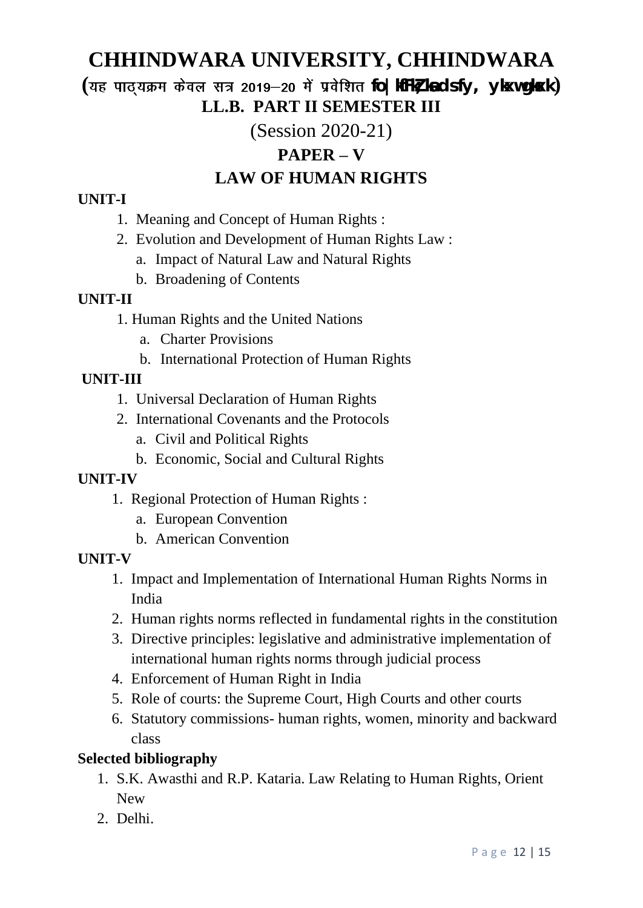$($ यह पाठ्*यक्रम केवल सत्र 2019–20 में प्रवेशित fo | kfFkz ka ds fy, ykxw gkxk)* **LL.B. PART II SEMESTER III**

(Session 2020-21)

## **PAPER – V**

## **LAW OF HUMAN RIGHTS**

### **UNIT-I**

- 1. Meaning and Concept of Human Rights :
- 2. Evolution and Development of Human Rights Law :
	- a. Impact of Natural Law and Natural Rights
	- b. Broadening of Contents

### **UNIT-II**

- 1. Human Rights and the United Nations
	- a. Charter Provisions
	- b. International Protection of Human Rights

## **UNIT-III**

- 1. Universal Declaration of Human Rights
- 2. International Covenants and the Protocols
	- a. Civil and Political Rights
	- b. Economic, Social and Cultural Rights

## **UNIT-IV**

- 1. Regional Protection of Human Rights :
	- a. European Convention
	- b. American Convention

## **UNIT-V**

- 1. Impact and Implementation of International Human Rights Norms in India
- 2. Human rights norms reflected in fundamental rights in the constitution
- 3. Directive principles: legislative and administrative implementation of international human rights norms through judicial process
- 4. Enforcement of Human Right in India
- 5. Role of courts: the Supreme Court, High Courts and other courts
- 6. Statutory commissions- human rights, women, minority and backward class

## **Selected bibliography**

- 1. S.K. Awasthi and R.P. Kataria. Law Relating to Human Rights, Orient New
- 2. Delhi.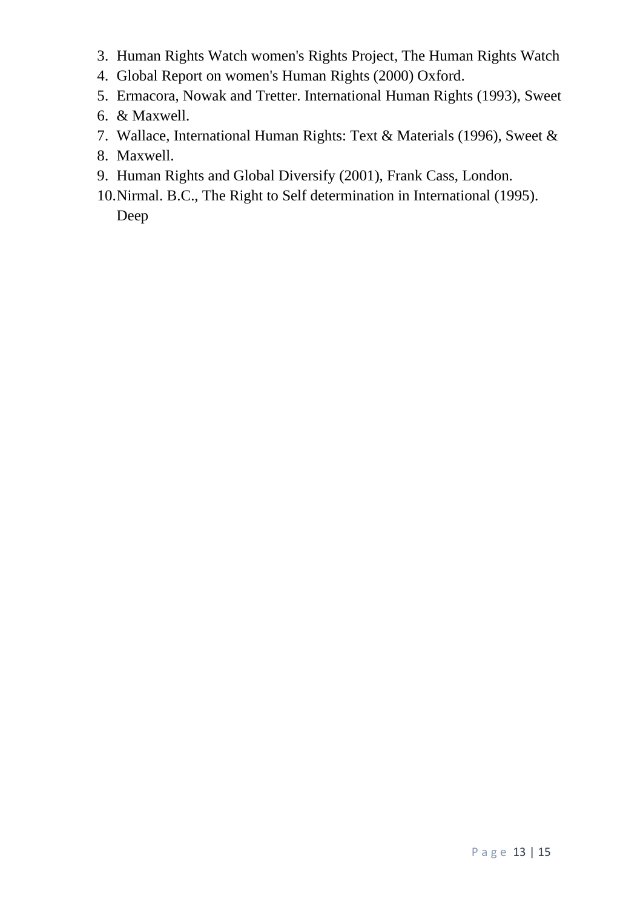- 3. Human Rights Watch women's Rights Project, The Human Rights Watch
- 4. Global Report on women's Human Rights (2000) Oxford.
- 5. Ermacora, Nowak and Tretter. International Human Rights (1993), Sweet
- 6. & Maxwell.
- 7. Wallace, International Human Rights: Text & Materials (1996), Sweet &
- 8. Maxwell.
- 9. Human Rights and Global Diversify (2001), Frank Cass, London.
- 10.Nirmal. B.C., The Right to Self determination in International (1995). Deep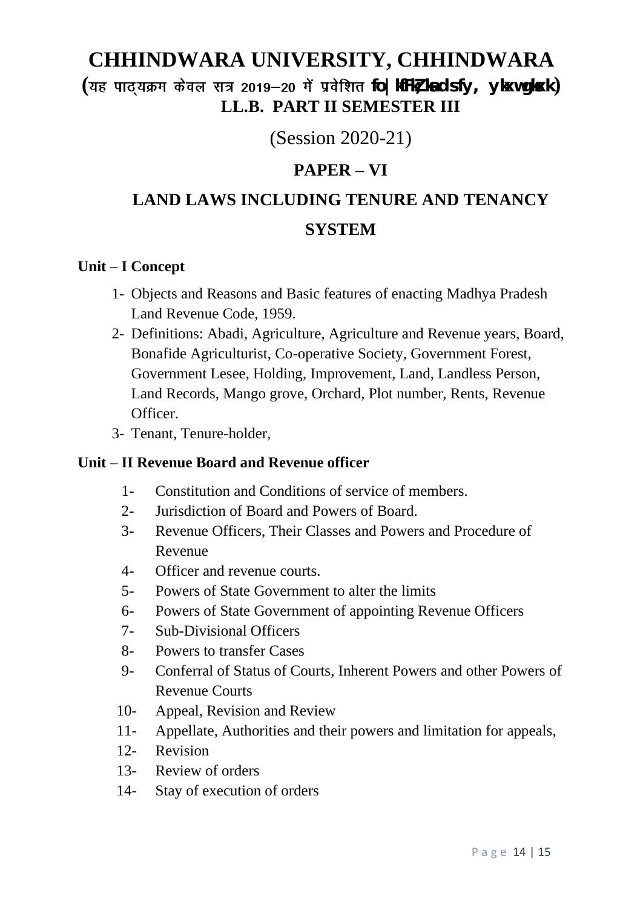$($ यह पाठ्*यक्रम केवल सत्र 2019–20 में प्रवेशित fo | kfFkz ka ds fy, ykxw gkxk)* **LL.B. PART II SEMESTER III**

(Session 2020-21)

## **PAPER – VI**

# **LAND LAWS INCLUDING TENURE AND TENANCY SYSTEM**

#### **Unit – I Concept**

- 1- Objects and Reasons and Basic features of enacting Madhya Pradesh Land Revenue Code, 1959.
- 2- Definitions: Abadi, Agriculture, Agriculture and Revenue years, Board, Bonafide Agriculturist, Co-operative Society, Government Forest, Government Lesee, Holding, Improvement, Land, Landless Person, Land Records, Mango grove, Orchard, Plot number, Rents, Revenue Officer.
- 3- Tenant, Tenure-holder,

#### **Unit – II Revenue Board and Revenue officer**

- 1- Constitution and Conditions of service of members.
- 2- Jurisdiction of Board and Powers of Board.
- 3- Revenue Officers, Their Classes and Powers and Procedure of Revenue
- 4- Officer and revenue courts.
- 5- Powers of State Government to alter the limits
- 6- Powers of State Government of appointing Revenue Officers
- 7- Sub-Divisional Officers
- 8- Powers to transfer Cases
- 9- Conferral of Status of Courts, Inherent Powers and other Powers of Revenue Courts
- 10- Appeal, Revision and Review
- 11- Appellate, Authorities and their powers and limitation for appeals,
- 12- Revision
- 13- Review of orders
- 14- Stay of execution of orders